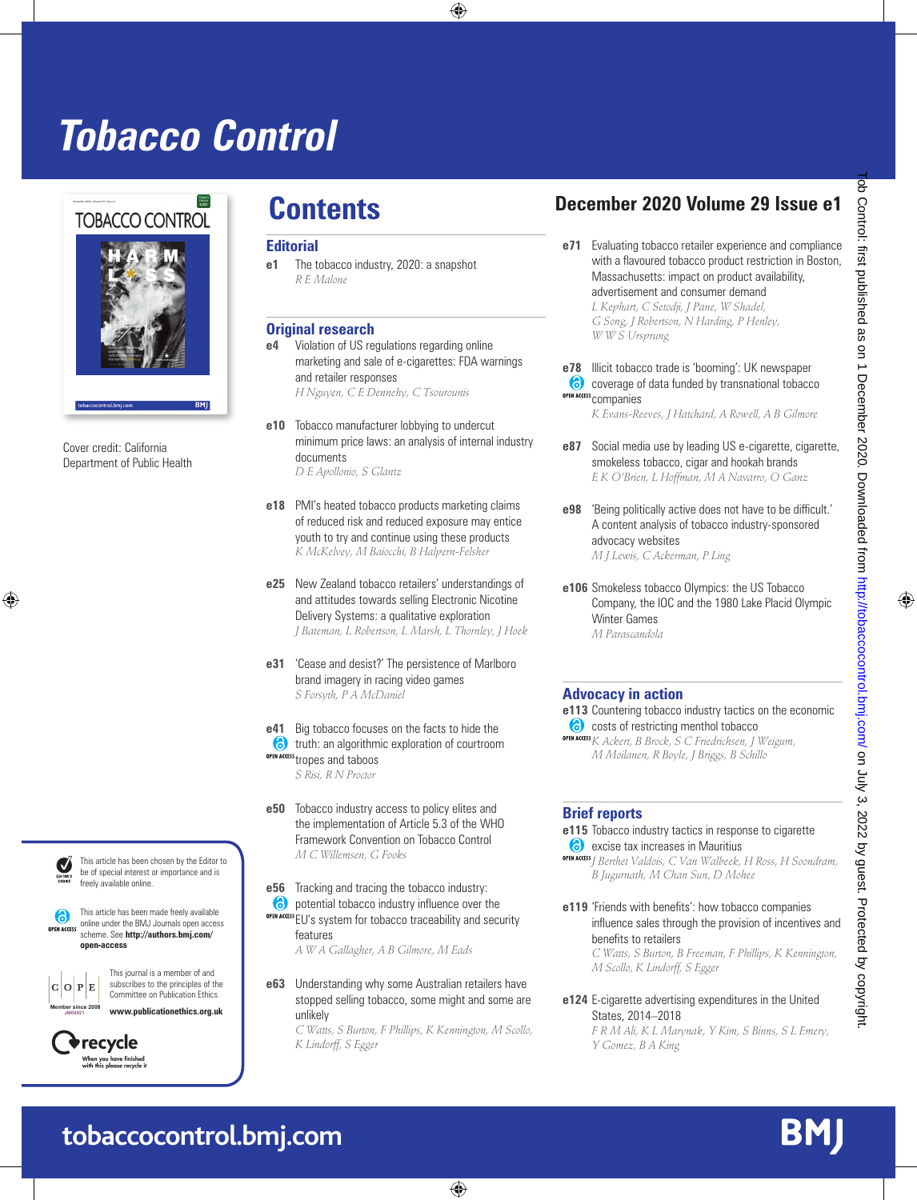# **Tobacco Control**



Cover credit: California Department of Public Health



This article has been chosen by the Editor to be of special interest or importance and is freely available online.

This article has been made freely available **OPEN ACCESS** online under the BMJ Journals open access scheme. See **http://authors.bmj.com/ open-access**

This journal is a member of and subscribes to the principles of the Committee on Publication Ethics **www.publicationethics.org.uk Member since 2008**



**JM00021**

 $\mathbf{p}$ İE.

#### **Editorial**

**e1** The tobacco industry, 2020: a snapshot *R E Malone*

### **Original research**

- **e4** Violation of US regulations regarding online marketing and sale of e-cigarettes: FDA warnings and retailer responses *H Nguyen, C E Dennehy, C Tsourounis*
- **e10** Tobacco manufacturer lobbying to undercut minimum price laws: an analysis of internal industry documents *D E Apollonio, S Glantz*
- **e18** PMI's heated tobacco products marketing claims of reduced risk and reduced exposure may entice youth to try and continue using these products *K McKelvey, M Baiocchi, B Halpern-Felsher*
- **e25** New Zealand tobacco retailers' understandings of and attitudes towards selling Electronic Nicotine Delivery Systems: a qualitative exploration *J Bateman, L Robertson, L Marsh, L Thornley, J Hoek*
- **e31** 'Cease and desist?' The persistence of Marlboro brand imagery in racing video games *S Forsyth, P A McDaniel*

**e41** Big tobacco focuses on the facts to hide the **the struth:** an algorithmic exploration of courtroom OPEN ACCESS tropes and taboos *S Risi, R N Proctor*

- **e50** Tobacco industry access to policy elites and the implementation of Article 5.3 of the WHO Framework Convention on Tobacco Control *M C Willemsen, G Fooks*
- **e56** Tracking and tracing the tobacco industry:
- **(6)** potential tobacco industry influence over the **OPEN ACCE** EU's system for tobacco traceability and security features

*A W A Gallagher, A B Gilmore, M Eads*

**e63** Understanding why some Australian retailers have stopped selling tobacco, some might and some are unlikely

*C Watts, S Burton, F Phillips, K Kennington, M Scollo, K Lindorff, S Egger*

## **Contents December 2020 Volume 29 Issue e1**

**e71** Evaluating tobacco retailer experience and compliance with a flavoured tobacco product restriction in Boston, Massachusetts: impact on product availability, advertisement and consumer demand

*L Kephart, C Setodji, J Pane, W Shadel, G Song, J Robertson, N Harding, P Henley, W W S Ursprung*

**e78** Illicit tobacco trade is 'booming': UK newspaper coverage of data funded by transnational tobacco **OPEN ACCESS** COMPANIES

*K Evans-Reeves, J Hatchard, A Rowell, A B Gilmore*

- **e87** Social media use by leading US e-cigarette, cigarette, smokeless tobacco, cigar and hookah brands *E K O'Brien, L Hoffman, M A Navarro, O Ganz*
- **e98** 'Being politically active does not have to be difficult.' A content analysis of tobacco industry-sponsored advocacy websites *M J Lewis, C Ackerman, P Ling*
- **e106** Smokeless tobacco Olympics: the US Tobacco Company, the IOC and the 1980 Lake Placid Olympic Winter Games *M Parascandola*

#### **Advocacy in action**

**e113** Countering tobacco industry tactics on the economic costs of restricting menthol tobacco

*K Ackert, B Brock, S C Friedrichsen, J Weigum, M Moilanen, R Boyle, J Briggs, B Schillo*

#### **Brief reports**

**e115** Tobacco industry tactics in response to cigarette **6** excise tax increases in Mauritius *J Berthet Valdois, C Van Walbeek, H Ross, H Soondram,* 

*B Jugurnath, M Chan Sun, D Mohee*

**e119** 'Friends with benefits': how tobacco companies influence sales through the provision of incentives and benefits to retailers *C Watts, S Burton, B Freeman, F Phillips, K Kennington, M Scollo, K Lindorff, S Egger*

**e124** E-cigarette advertising expenditures in the United States, 2014–2018 *F R M Ali, K L Marynak, Y Kim, S Binns, S L Emery, Y Gomez, B A King*

BM

## **tobaccocontrol.bmj.com**